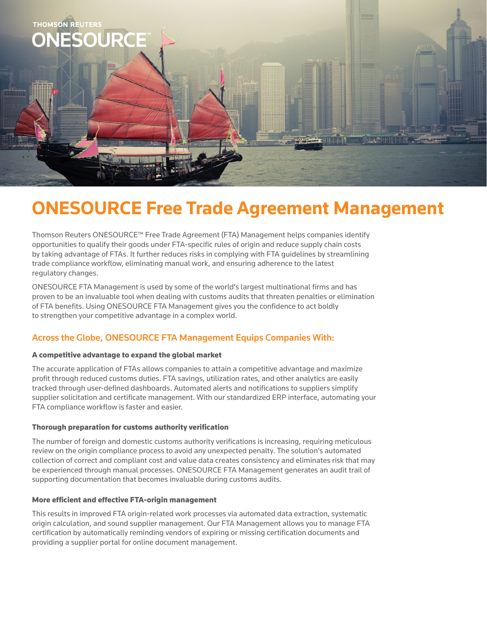

# **ONESOURCE Free Trade Agreement Management**

Thomson Reuters ONESOURCE™ Free Trade Agreement (FTA) Management helps companies identify opportunities to qualify their goods under FTA-specific rules of origin and reduce supply chain costs by taking advantage of FTAs. It further reduces risks in complying with FTA guidelines by streamlining trade compliance workflow, eliminating manual work, and ensuring adherence to the latest regulatory changes.

ONESOURCE FTA Management is used by some of the world's largest multinational firms and has proven to be an invaluable tool when dealing with customs audits that threaten penalties or elimination of FTA benefits. Using ONESOURCE FTA Management gives you the confidence to act boldly to strengthen your competitive advantage in a complex world.

## Across the Globe, ONESOURCE FTA Management Equips Companies With:

#### A competitive advantage to expand the global market

The accurate application of FTAs allows companies to attain a competitive advantage and maximize profit through reduced customs duties. FTA savings, utilization rates, and other analytics are easily tracked through user-defined dashboards. Automated alerts and notifications to suppliers simplify supplier solicitation and certificate management. With our standardized ERP interface, automating your FTA compliance workflow is faster and easier.

#### Thorough preparation for customs authority verification

The number of foreign and domestic customs authority verifications is increasing, requiring meticulous review on the origin compliance process to avoid any unexpected penalty. The solution's automated collection of correct and compliant cost and value data creates consistency and eliminates risk that may be experienced through manual processes. ONESOURCE FTA Management generates an audit trail of supporting documentation that becomes invaluable during customs audits.

#### More efficient and effective FTA-origin management

This results in improved FTA origin-related work processes via automated data extraction, systematic origin calculation, and sound supplier management. Our FTA Management allows you to manage FTA certification by automatically reminding vendors of expiring or missing certification documents and providing a supplier portal for online document management.